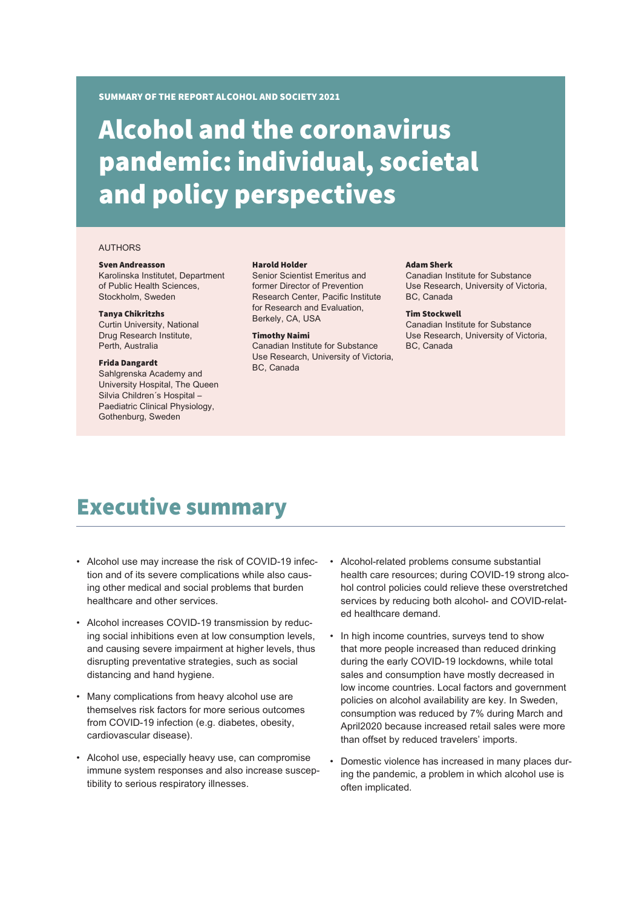SUMMARY OF THE REPORT ALCOHOL AND SOCIETY 2021

# Alcohol and the coronavirus pandemic: individual, societal and policy perspectives

#### AUTHORS

#### Sven Andreasson

Karolinska Institutet, Department of Public Health Sciences, Stockholm, Sweden

#### Tanya Chikritzhs

Curtin University, National Drug Research Institute, Perth, Australia

#### Frida Dangardt

Sahlgrenska Academy and University Hospital, The Queen Silvia Children´s Hospital – Paediatric Clinical Physiology, Gothenburg, Sweden

#### Harold Holder

Senior Scientist Emeritus and former Director of Prevention Research Center, Pacific Institute for Research and Evaluation Berkely, CA, USA

#### Timothy Naimi

Canadian Institute for Substance Use Research, University of Victoria, BC, Canada

#### Adam Sherk

Canadian Institute for Substance Use Research, University of Victoria, BC, Canada

#### Tim Stockwell

Canadian Institute for Substance Use Research, University of Victoria, BC, Canada

## Executive summary

- Alcohol use may increase the risk of COVID-19 infection and of its severe complications while also causing other medical and social problems that burden healthcare and other services.
- Alcohol increases COVID-19 transmission by reducing social inhibitions even at low consumption levels, and causing severe impairment at higher levels, thus disrupting preventative strategies, such as social distancing and hand hygiene.
- Many complications from heavy alcohol use are themselves risk factors for more serious outcomes from COVID-19 infection (e.g. diabetes, obesity, cardiovascular disease).
- Alcohol use, especially heavy use, can compromise immune system responses and also increase susceptibility to serious respiratory illnesses.
- Alcohol-related problems consume substantial health care resources; during COVID-19 strong alcohol control policies could relieve these overstretched services by reducing both alcohol- and COVID-related healthcare demand.
- In high income countries, surveys tend to show that more people increased than reduced drinking during the early COVID-19 lockdowns, while total sales and consumption have mostly decreased in low income countries. Local factors and government policies on alcohol availability are key. In Sweden, consumption was reduced by 7% during March and April2020 because increased retail sales were more than offset by reduced travelers' imports.
- Domestic violence has increased in many places during the pandemic, a problem in which alcohol use is often implicated.